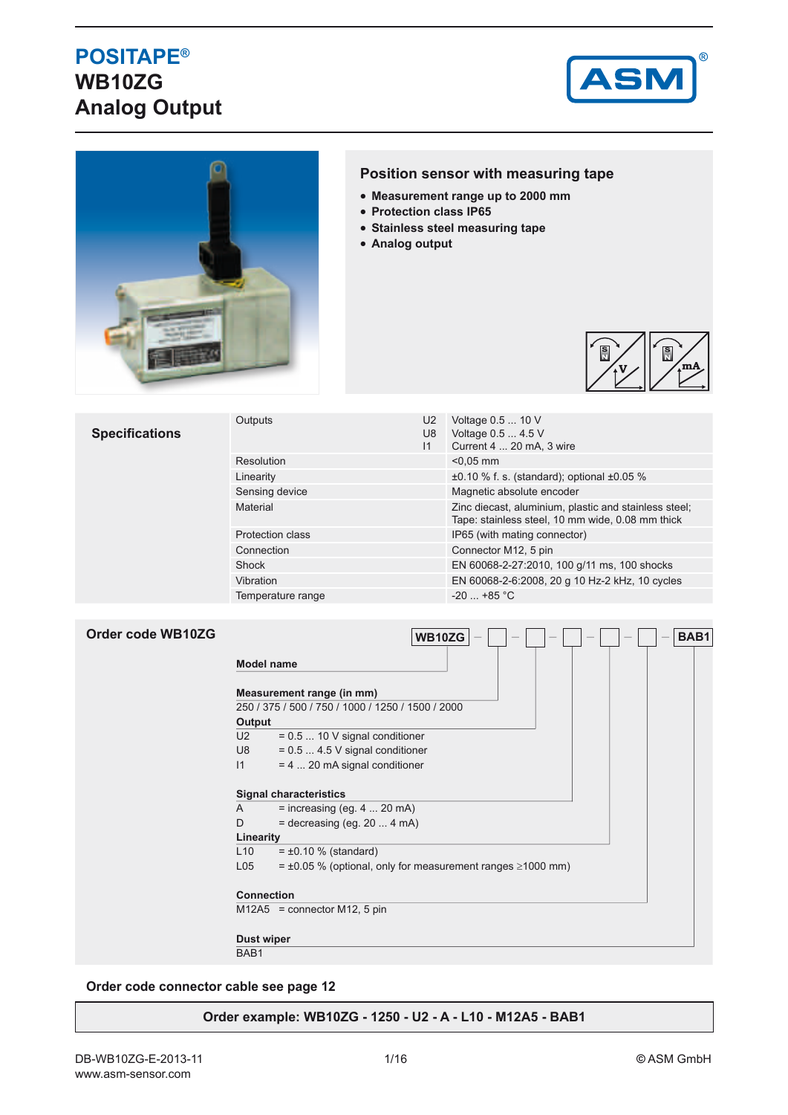# **POSITAPE® WB10ZG Analog Output**





### **Position sensor with measuring tape**

- **Measurement range up to 2000 mm**
- **Protection class IP65**
- **Stainless steel measuring tape**
- **Analog output**



#### **Specifications** Outputs U2  $\overline{U8}$  $11$ Voltage 0.5 ... 10 V Voltage 0.5 ... 4.5 V Current 4 ... 20 mA, 3 wire Resolution  $\leq 0.05$  mm Linearity  $\pm 0.10$  % f. s. (standard); optional  $\pm 0.05$  % Sensing device Magnetic absolute encoder Material Material **Material Circuit Contract Circuit Circuit Circuit Circuit Circuit Circuit Circuit Circuit Circuit Circuit Circuit Circuit Circuit Circuit Circuit Circuit Circuit Circuit Circuit Circuit Circuit Circuit C** Tape: stainless steel, 10 mm wide, 0.08 mm thick Protection class IP65 (with mating connector) Connection Connection Connector M12, 5 pin Shock EN 60068-2-27:2010, 100 g/11 ms, 100 shocks Vibration EN 60068-2-6:2008, 20 g 10 Hz-2 kHz, 10 cycles Temperature range  $-20$  ... +85 °C

| Order code WB10ZG |                                                   | WB10ZG<br>BAB1                                                        |  |  |  |  |
|-------------------|---------------------------------------------------|-----------------------------------------------------------------------|--|--|--|--|
|                   | <b>Model name</b>                                 |                                                                       |  |  |  |  |
|                   | Measurement range (in mm)                         |                                                                       |  |  |  |  |
|                   | 250 / 375 / 500 / 750 / 1000 / 1250 / 1500 / 2000 |                                                                       |  |  |  |  |
|                   | Output                                            |                                                                       |  |  |  |  |
|                   | U <sub>2</sub>                                    | $= 0.5$ 10 V signal conditioner                                       |  |  |  |  |
|                   | U8                                                | $= 0.5$ 4.5 V signal conditioner                                      |  |  |  |  |
|                   | 1                                                 | = 4  20 mA signal conditioner                                         |  |  |  |  |
|                   | <b>Signal characteristics</b>                     |                                                                       |  |  |  |  |
|                   | A                                                 | $=$ increasing (eg. 4  20 mA)                                         |  |  |  |  |
|                   | D                                                 | $=$ decreasing (eg. 20  4 mA)                                         |  |  |  |  |
|                   | Linearity                                         |                                                                       |  |  |  |  |
|                   | L10                                               | $= \pm 0.10$ % (standard)                                             |  |  |  |  |
|                   | L05                                               | $= \pm 0.05$ % (optional, only for measurement ranges $\geq 1000$ mm) |  |  |  |  |
|                   | <b>Connection</b>                                 |                                                                       |  |  |  |  |
|                   |                                                   | $M12A5$ = connector M12, 5 pin                                        |  |  |  |  |
|                   | <b>Dust wiper</b>                                 |                                                                       |  |  |  |  |
|                   | BAB <sub>1</sub>                                  |                                                                       |  |  |  |  |

#### **Order code connector cable see page 12**

#### **Order example: WB10ZG - 1250 - U2 - A - L10 - M12A5 - BAB1**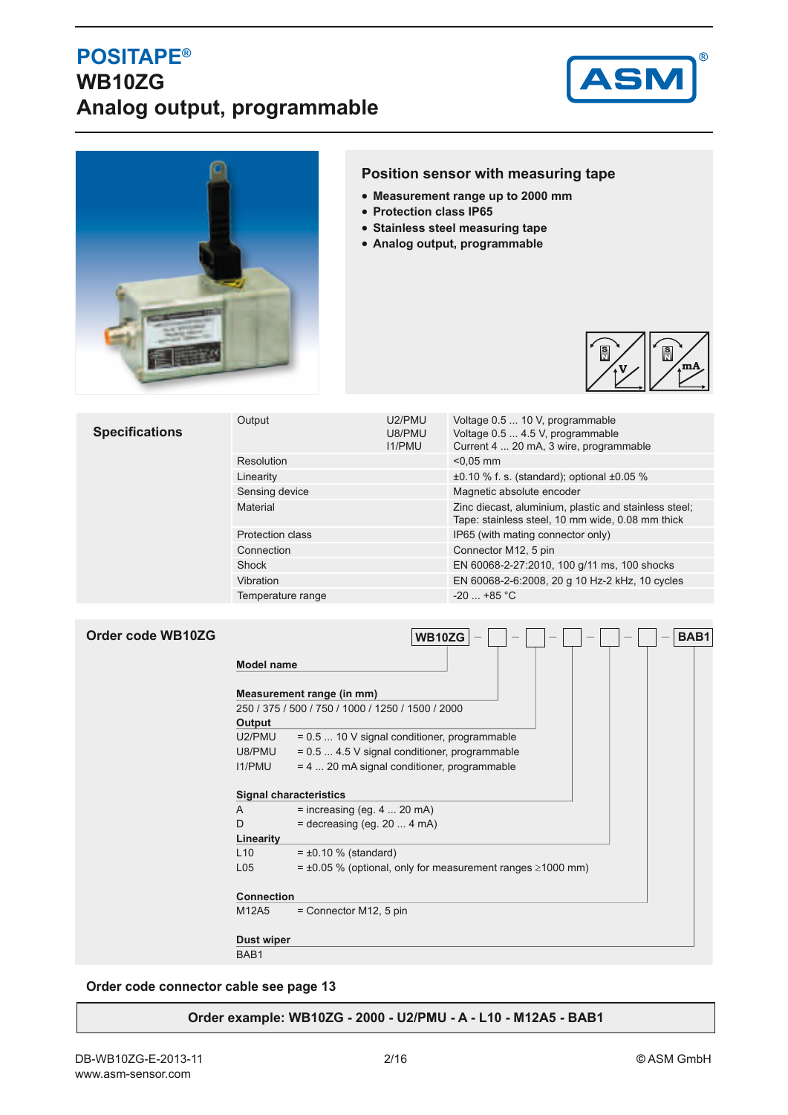## **POSITAPE® WB10ZG Analog output, programmable**





### **Position sensor with measuring tape**

- **Measurement range up to 2000 mm**
- **Protection class IP65**
- **Stainless steel measuring tape**
- **Analog output, programmable**



| <b>Specifications</b> | U2/PMU<br>Output<br>U8/PMU<br><b>I1/PMU</b> |  | Voltage 0.5  10 V, programmable<br>Voltage 0.5  4.5 V, programmable<br>Current 4  20 mA, 3 wire, programmable |  |
|-----------------------|---------------------------------------------|--|---------------------------------------------------------------------------------------------------------------|--|
|                       | Resolution                                  |  | $< 0.05$ mm                                                                                                   |  |
|                       | Linearity                                   |  | $\pm 0.10$ % f. s. (standard); optional $\pm 0.05$ %                                                          |  |
|                       | Sensing device                              |  | Magnetic absolute encoder                                                                                     |  |
|                       | Material                                    |  | Zinc diecast, aluminium, plastic and stainless steel;<br>Tape: stainless steel, 10 mm wide, 0.08 mm thick     |  |
|                       | <b>Protection class</b>                     |  | IP65 (with mating connector only)                                                                             |  |
|                       | Connection                                  |  | Connector M12, 5 pin                                                                                          |  |
|                       | Shock                                       |  | EN 60068-2-27:2010, 100 g/11 ms, 100 shocks                                                                   |  |
|                       | Vibration                                   |  | EN 60068-2-6:2008, 20 g 10 Hz-2 kHz, 10 cycles                                                                |  |
|                       | Temperature range                           |  | $-20$ $+85$ °C                                                                                                |  |

| Order code WB10ZG |                   | WB10ZG<br>BAB1                                                        |
|-------------------|-------------------|-----------------------------------------------------------------------|
|                   | Model name        |                                                                       |
|                   |                   | Measurement range (in mm)                                             |
|                   |                   | 250 / 375 / 500 / 750 / 1000 / 1250 / 1500 / 2000                     |
|                   | Output            |                                                                       |
|                   | U2/PMU            | = 0.5  10 V signal conditioner, programmable                          |
|                   | U8/PMU            | $= 0.5$ 4.5 V signal conditioner, programmable                        |
|                   | <b>I1/PMU</b>     | $= 4$ 20 mA signal conditioner, programmable                          |
|                   |                   | <b>Signal characteristics</b>                                         |
|                   | A                 | $=$ increasing (eg. 4  20 mA)                                         |
|                   | D                 | $=$ decreasing (eg. 20  4 mA)                                         |
|                   | Linearity         |                                                                       |
|                   | L10               | $= \pm 0.10$ % (standard)                                             |
|                   | L <sub>05</sub>   | $= \pm 0.05$ % (optional, only for measurement ranges $\geq 1000$ mm) |
|                   | <b>Connection</b> |                                                                       |
|                   | M12A5             | $=$ Connector M12, 5 pin                                              |
|                   | Dust wiper        |                                                                       |
|                   | BAB <sub>1</sub>  |                                                                       |

### **Order code connector cable see page 13**

#### **Order example: WB10ZG - 2000 - U2/PMU - A - L10 - M12A5 - BAB1**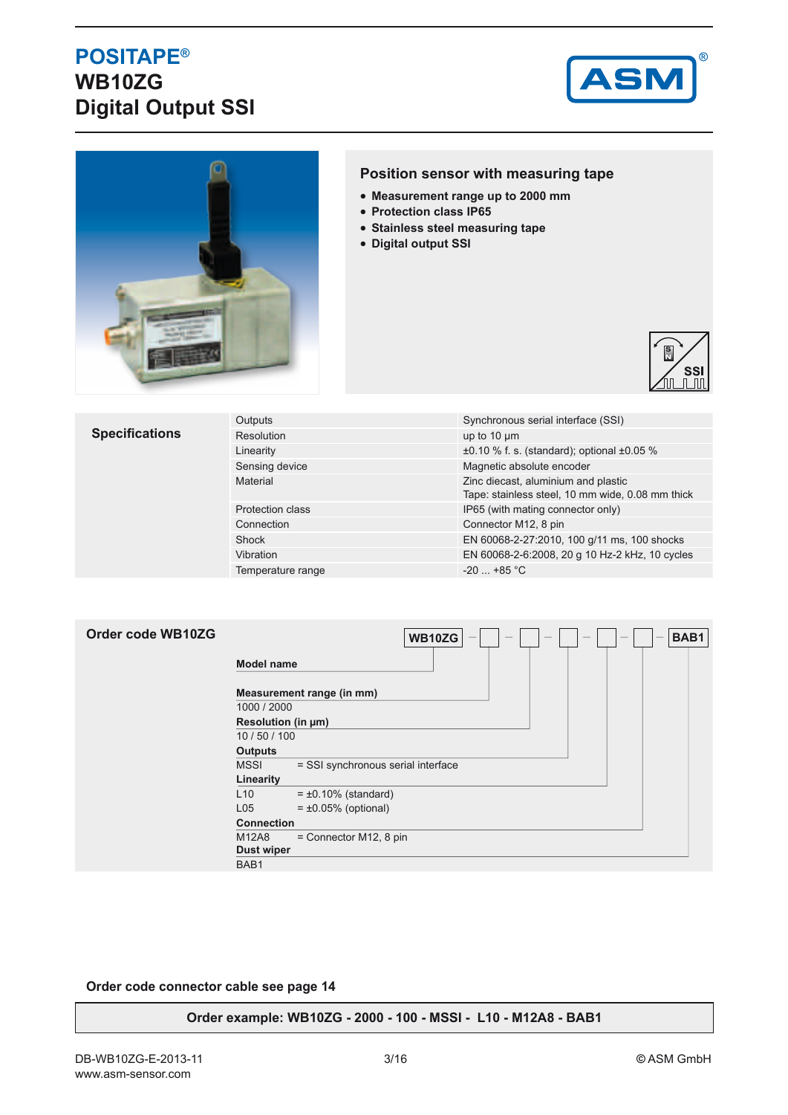## **POSITAPE® WB10ZG Digital Output SSI**





### **Position sensor with measuring tape**

- **Measurement range up to 2000 mm**
- **Protection class IP65**
- **Stainless steel measuring tape**
- **Digital output SSI**



### **Specifications**

| Outputs                 | Synchronous serial interface (SSI)                                                      |
|-------------------------|-----------------------------------------------------------------------------------------|
| Resolution              | up to $10 \mu m$                                                                        |
| Linearity               | $\pm 0.10$ % f. s. (standard); optional $\pm 0.05$ %                                    |
| Sensing device          | Magnetic absolute encoder                                                               |
| Material                | Zinc diecast, aluminium and plastic<br>Tape: stainless steel, 10 mm wide, 0.08 mm thick |
| <b>Protection class</b> | IP65 (with mating connector only)                                                       |
| Connection              | Connector M12, 8 pin                                                                    |
| Shock                   | EN 60068-2-27:2010, 100 g/11 ms, 100 shocks                                             |
| Vibration               | EN 60068-2-6:2008, 20 g 10 Hz-2 kHz, 10 cycles                                          |
| Temperature range       | $-20$ $+85$ °C                                                                          |

| Order code WB10ZG | BAB1<br>WB10ZG<br>$\overline{\phantom{0}}$             |
|-------------------|--------------------------------------------------------|
|                   | <b>Model name</b>                                      |
|                   | Measurement range (in mm)<br>1000 / 2000               |
|                   | Resolution (in µm)                                     |
|                   | 10/50/100<br><b>Outputs</b>                            |
|                   | <b>MSSI</b><br>= SSI synchronous serial interface      |
|                   | Linearity                                              |
|                   | L10<br>$= \pm 0.10\%$ (standard)                       |
|                   | L <sub>05</sub><br>$= \pm 0.05\%$ (optional)           |
|                   | <b>Connection</b>                                      |
|                   | M12A8<br>$=$ Connector M12, 8 pin<br><b>Dust wiper</b> |
|                   | BAB1                                                   |

### **Order code connector cable see page 14**

#### **Order example: WB10ZG - 2000 - 100 - MSSI - L10 - M12A8 - BAB1**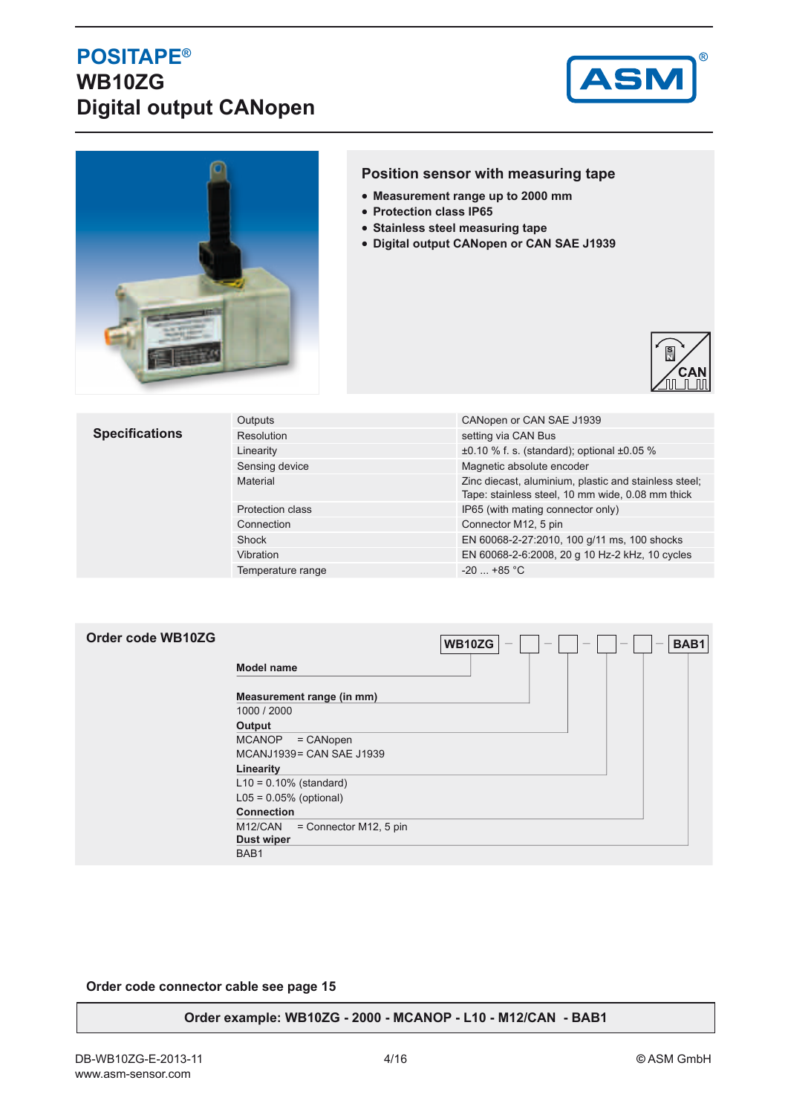## **POSITAPE® WB10ZG Digital output CANopen**





### **Position sensor with measuring tape**

- **Measurement range up to 2000 mm**
- **Protection class IP65**
- **Stainless steel measuring tape**
- **Digital output CANopen or CAN SAE J1939**



### **Specifications**

| Outputs                 | CANopen or CAN SAE J1939                                                                                  |
|-------------------------|-----------------------------------------------------------------------------------------------------------|
| <b>Resolution</b>       | setting via CAN Bus                                                                                       |
| Linearity               | $\pm 0.10$ % f. s. (standard); optional $\pm 0.05$ %                                                      |
| Sensing device          | Magnetic absolute encoder                                                                                 |
| Material                | Zinc diecast, aluminium, plastic and stainless steel;<br>Tape: stainless steel, 10 mm wide, 0.08 mm thick |
| <b>Protection class</b> | IP65 (with mating connector only)                                                                         |
| Connection              | Connector M12, 5 pin                                                                                      |
| Shock                   | EN 60068-2-27:2010, 100 g/11 ms, 100 shocks                                                               |
| Vibration               | EN 60068-2-6:2008, 20 g 10 Hz-2 kHz, 10 cycles                                                            |
| Temperature range       | $-20 + 85 °C$                                                                                             |

### **Order code WB10ZG**

|                                     | <b>WB10ZG</b> |  | BAB1<br>- |
|-------------------------------------|---------------|--|-----------|
| <b>Model name</b>                   |               |  |           |
| Measurement range (in mm)           |               |  |           |
| 1000 / 2000                         |               |  |           |
| Output                              |               |  |           |
| <b>MCANOP</b><br>$=$ CANopen        |               |  |           |
| MCANJ1939 = CAN SAE J1939           |               |  |           |
| Linearity                           |               |  |           |
| $L10 = 0.10%$ (standard)            |               |  |           |
| $L05 = 0.05%$ (optional)            |               |  |           |
| <b>Connection</b>                   |               |  |           |
| M12/CAN<br>$=$ Connector M12, 5 pin |               |  |           |
| <b>Dust wiper</b>                   |               |  |           |
| BAB1                                |               |  |           |

### **Order code connector cable see page 15**

#### **Order example: WB10ZG - 2000 - MCANOP - L10 - M12/CAN - BAB1**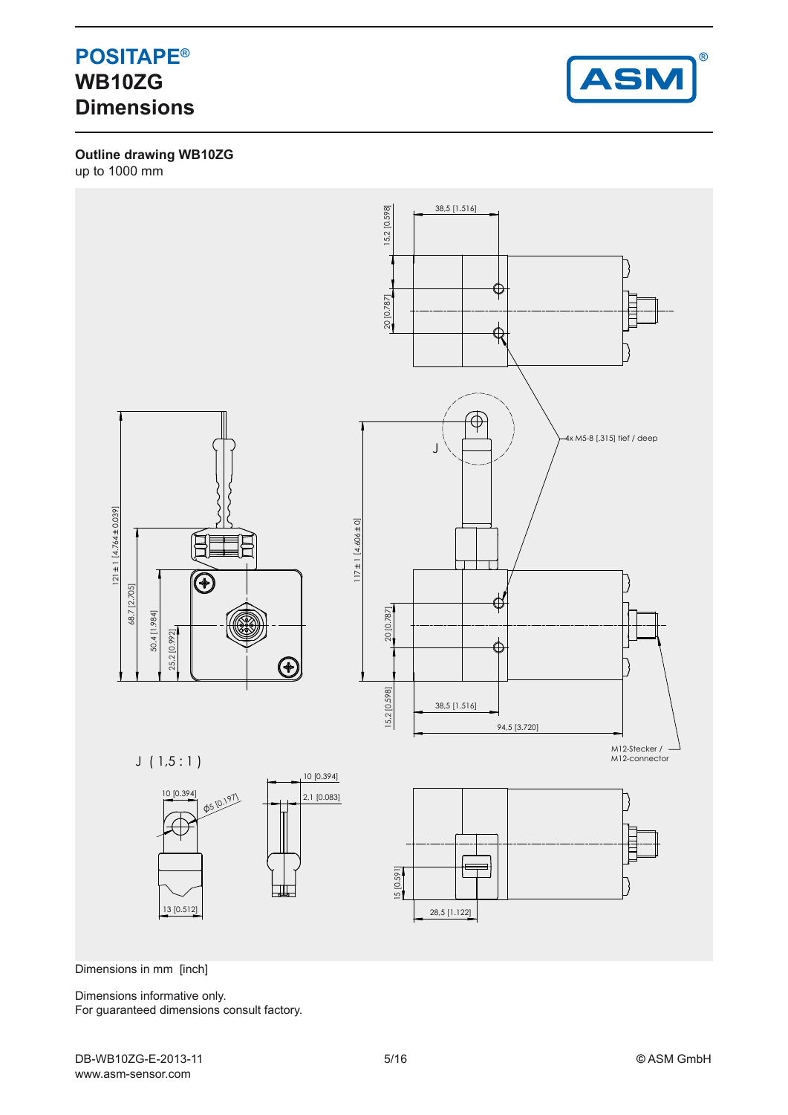## **POSITAPE® WB10ZG Dimensions**



**Outline drawing WB10ZG** up to 1000 mm



Dimensions in mm [inch]

Dimensions informative only. For guaranteed dimensions consult factory.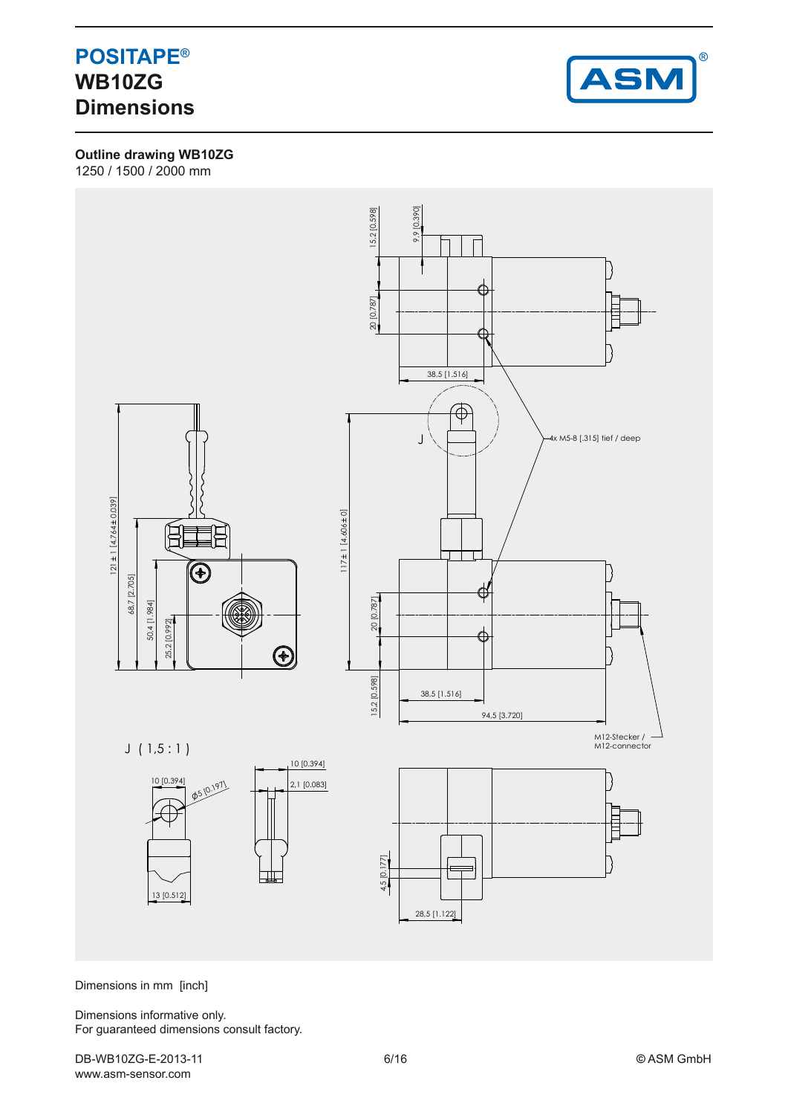### **POSITAPE® WB10ZG Dimensions**



**Outline drawing WB10ZG**

1250 / 1500 / 2000 mm



Dimensions in mm [inch]

Dimensions informative only. For guaranteed dimensions consult factory.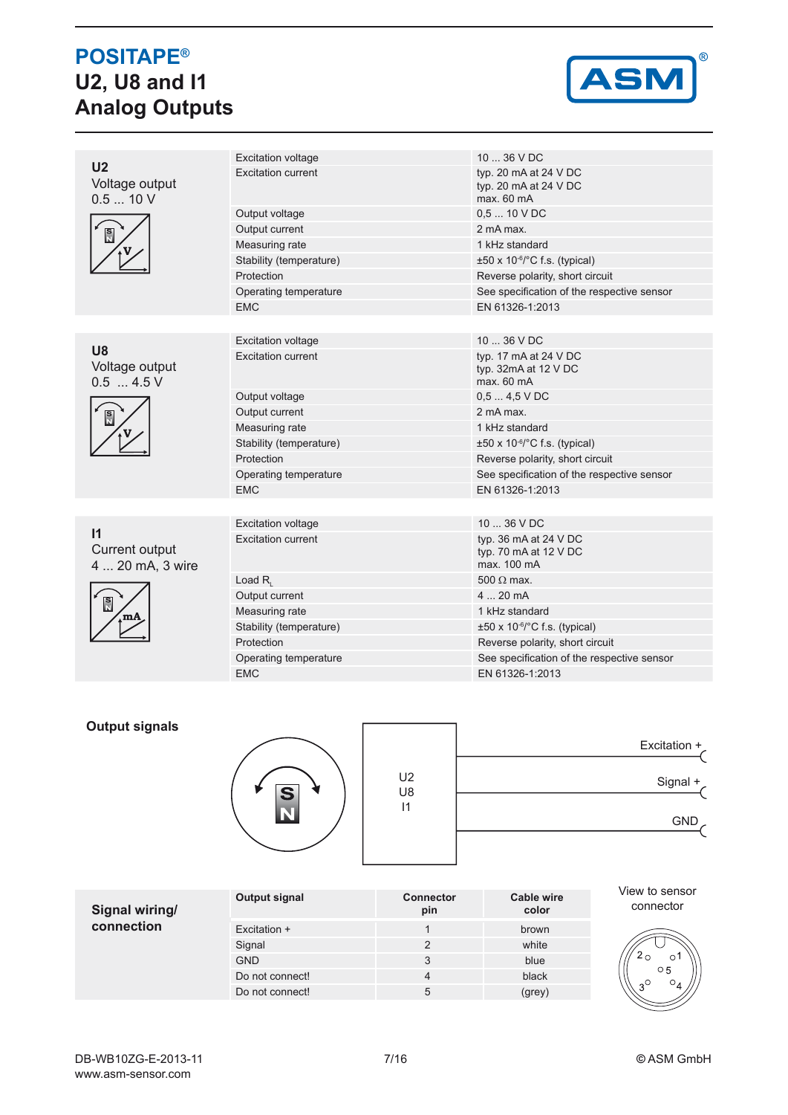# **POSITAPE® U2, U8 and I1 Analog Outputs**



|                                                    | <b>Excitation voltage</b> | 10  36 V DC                                                       |  |
|----------------------------------------------------|---------------------------|-------------------------------------------------------------------|--|
| U <sub>2</sub><br>Voltage output<br>0.510V         | <b>Excitation current</b> | typ. 20 mA at 24 V DC<br>typ. 20 mA at 24 V DC<br>max. 60 mA      |  |
|                                                    | Output voltage            | $0.510$ V DC                                                      |  |
| $\frac{S}{N}$                                      | Output current            | 2 mA max.                                                         |  |
|                                                    | Measuring rate            | 1 kHz standard                                                    |  |
|                                                    | Stability (temperature)   | $\pm 50 \times 10^{-6}$ C f.s. (typical)                          |  |
|                                                    | Protection                | Reverse polarity, short circuit                                   |  |
|                                                    | Operating temperature     | See specification of the respective sensor                        |  |
|                                                    | <b>EMC</b>                | EN 61326-1:2013                                                   |  |
|                                                    |                           |                                                                   |  |
|                                                    | <b>Excitation voltage</b> | $1036$ V DC                                                       |  |
| <b>U8</b><br>Voltage output<br>$0.5$ 4.5 V         | <b>Excitation current</b> | typ. 17 mA at 24 V DC<br>typ. 32mA at 12 V DC<br>max. 60 mA       |  |
|                                                    | Output voltage            | $0.54.5$ VDC                                                      |  |
| $\frac{S}{N}$                                      | Output current            | 2 mA max.                                                         |  |
|                                                    | Measuring rate            | 1 kHz standard                                                    |  |
|                                                    | Stability (temperature)   | $\pm 50 \times 10^{-6}$ C f.s. (typical)                          |  |
|                                                    | Protection                | Reverse polarity, short circuit                                   |  |
|                                                    | Operating temperature     | See specification of the respective sensor                        |  |
|                                                    | <b>EMC</b>                | EN 61326-1:2013                                                   |  |
|                                                    |                           |                                                                   |  |
|                                                    | <b>Excitation voltage</b> | $1036$ V DC                                                       |  |
| $\mathsf{I}$<br>Current output<br>4  20 mA, 3 wire | <b>Excitation current</b> | typ. 36 mA at 24 V DC<br>typ. 70 $mA$ at 12 $V$ DC<br>max. 100 mA |  |
|                                                    | Load $R_{i}$              | $500 \Omega$ max.                                                 |  |
| s<br>N                                             | Output current            | 420mA                                                             |  |
|                                                    | Measuring rate            | 1 kHz standard                                                    |  |
|                                                    | Stability (temperature)   | $\pm 50 \times 10^{-6}$ C f.s. (typical)                          |  |
|                                                    | Protection                | Reverse polarity, short circuit                                   |  |
|                                                    | Operating temperature     | See specification of the respective sensor                        |  |
|                                                    | <b>EMC</b>                | EN 61326-1:2013                                                   |  |

### **Output signals**



|                      | Excitation + |
|----------------------|--------------|
| U <sub>2</sub><br>U8 | Signal +     |
| $\mathsf{I}$         | GND,         |
|                      |              |

| Signal wiring/<br>connection | Output signal   | <b>Connector</b><br>pin | Cable wire<br>color |
|------------------------------|-----------------|-------------------------|---------------------|
|                              | Excitation +    |                         | brown               |
|                              | Signal          | $\mathcal{P}$           | white               |
|                              | <b>GND</b>      | 3                       | blue                |
|                              | Do not connect! | 4                       | black               |
|                              | Do not connect! | 5                       | (grey)              |

View to sensor connector

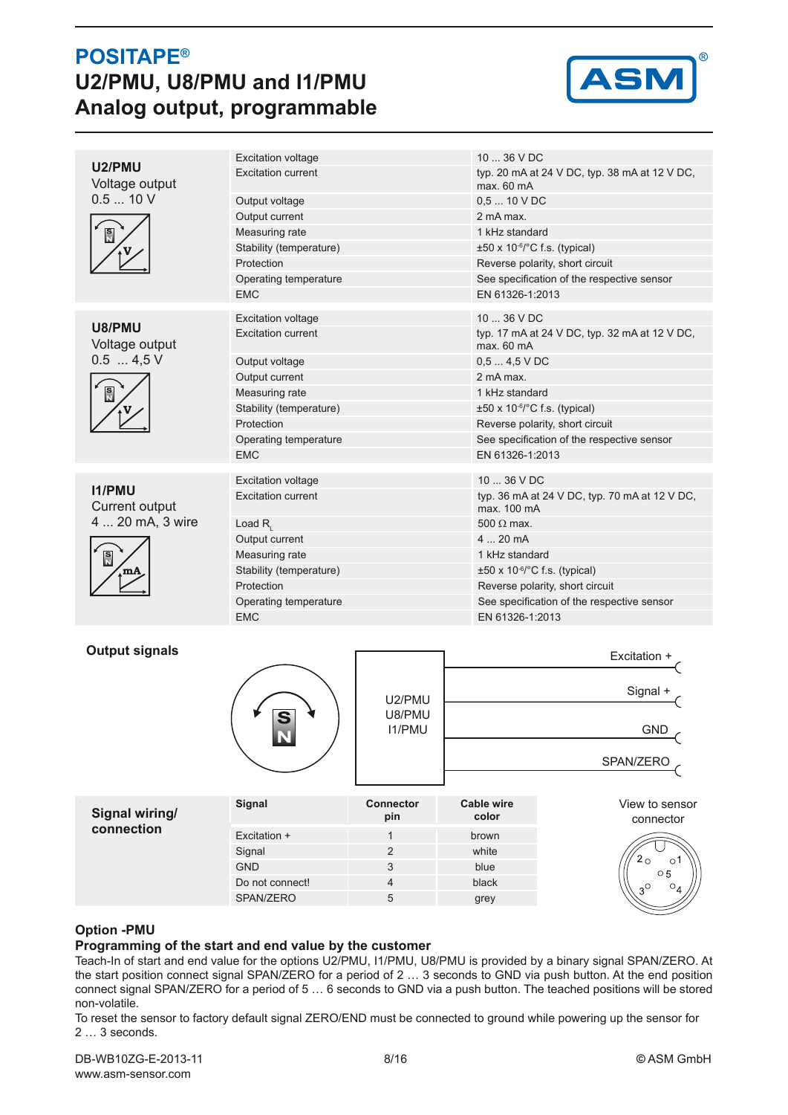## **POSITAPE® U2/PMU, U8/PMU and I1/PMU Analog output, programmable**



| U2/PMU<br>Voltage output | <b>Excitation voltage</b> | 10  36 V DC                                                  |  |  |
|--------------------------|---------------------------|--------------------------------------------------------------|--|--|
|                          | <b>Excitation current</b> | typ. 20 mA at 24 V DC, typ. 38 mA at 12 V DC,<br>max. 60 mA  |  |  |
| 0.510V                   | Output voltage            | $0.510$ V DC                                                 |  |  |
|                          | Output current            | 2 mA max                                                     |  |  |
| $\frac{S}{N}$            | Measuring rate            | 1 kHz standard                                               |  |  |
|                          | Stability (temperature)   | $\pm 50 \times 10^{-6}$ C f.s. (typical)                     |  |  |
|                          | Protection                | Reverse polarity, short circuit                              |  |  |
|                          | Operating temperature     | See specification of the respective sensor                   |  |  |
|                          | <b>EMC</b>                | EN 61326-1:2013                                              |  |  |
|                          | <b>Excitation voltage</b> | $1036$ VDC                                                   |  |  |
| U8/PMU                   | <b>Excitation current</b> | typ. 17 mA at 24 V DC, typ. 32 mA at 12 V DC,                |  |  |
| Voltage output           |                           | max. 60 mA                                                   |  |  |
| $0.5$ 4,5 V              | Output voltage            | $0,54,5$ VDC                                                 |  |  |
|                          | Output current            | 2 mA max.                                                    |  |  |
| $\frac{S}{N}$            | Measuring rate            | 1 kHz standard                                               |  |  |
|                          | Stability (temperature)   | $\pm 50 \times 10^{-6}$ C f.s. (typical)                     |  |  |
|                          | Protection                | Reverse polarity, short circuit                              |  |  |
|                          | Operating temperature     | See specification of the respective sensor                   |  |  |
|                          | <b>EMC</b>                | EN 61326-1:2013                                              |  |  |
|                          |                           |                                                              |  |  |
| 11/PMU                   | <b>Excitation voltage</b> | $1036$ V DC                                                  |  |  |
| Current output           | <b>Excitation current</b> | typ. 36 mA at 24 V DC, typ. 70 mA at 12 V DC,<br>max. 100 mA |  |  |
| 4  20 mA, 3 wire         | Load $R_{i}$              | $500 \Omega$ max                                             |  |  |
|                          | Output current            | $4$ 20 mA                                                    |  |  |
| $\frac{S}{N}$            | Measuring rate            | 1 kHz standard                                               |  |  |
|                          | Stability (temperature)   | $\pm 50 \times 10^{-6}$ C f.s. (typical)                     |  |  |
|                          | Protection                | Reverse polarity, short circuit                              |  |  |
|                          | Operating temperature     | See specification of the respective sensor                   |  |  |
|                          | <b>EMC</b>                | EN 61326-1:2013                                              |  |  |
|                          |                           |                                                              |  |  |
| <b>Output signals</b>    |                           | Excitation +                                                 |  |  |

| Julpul Siyiiais |               |                         |                            | Excitation +                |
|-----------------|---------------|-------------------------|----------------------------|-----------------------------|
| e<br>N          |               | U2/PMU                  | Signal +<br><b>GND</b>     |                             |
|                 |               | U8/PMU<br><b>I1/PMU</b> |                            |                             |
|                 |               |                         | SPAN/ZERO                  |                             |
| Signal wiring/  | <b>Signal</b> | <b>Connector</b><br>pin | <b>Cable wire</b><br>color | View to sensor<br>connector |
| connection      | Excitation +  |                         | brown                      |                             |



### **Option -PMU**

### **Programming of the start and end value by the customer**

Teach-In of start and end value for the options U2/PMU, I1/PMU, U8/PMU is provided by a binary signal SPAN/ZERO. At the start position connect signal SPAN/ZERO for a period of 2 … 3 seconds to GND via push button. At the end position connect signal SPAN/ZERO for a period of 5 … 6 seconds to GND via a push button. The teached positions will be stored non-volatile.

Signal 2 white GND 3 blue Do not connect! 4 black SPAN/ZERO 5 grey

To reset the sensor to factory default signal ZERO/END must be connected to ground while powering up the sensor for 2 … 3 seconds.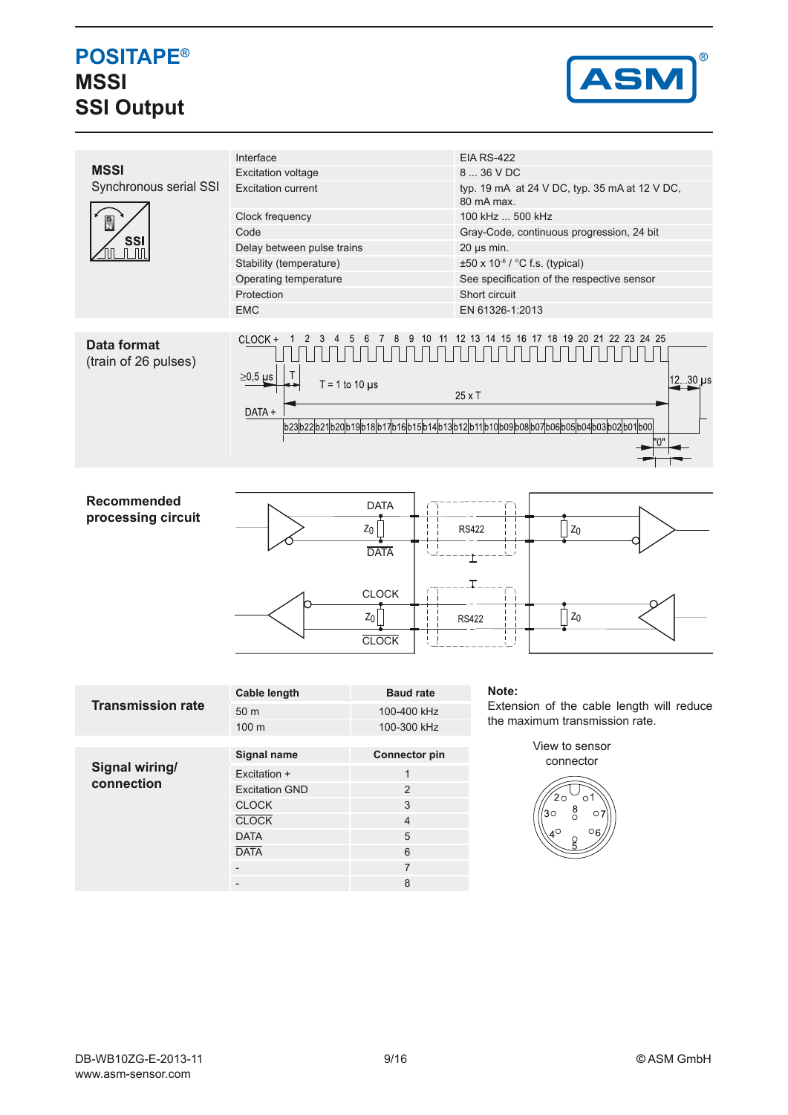## **POSITAPE® MSSI SSI Output**



|                                            | Interface                                                                                                                     |                      | <b>EIA RS-422</b>                                                           |  |  |  |  |
|--------------------------------------------|-------------------------------------------------------------------------------------------------------------------------------|----------------------|-----------------------------------------------------------------------------|--|--|--|--|
| <b>MSSI</b>                                | <b>Excitation voltage</b>                                                                                                     |                      | 8  36 V DC                                                                  |  |  |  |  |
| Synchronous serial SSI                     | <b>Excitation current</b>                                                                                                     |                      | typ. 19 mA at 24 V DC, typ. 35 mA at 12 V DC,<br>80 mA max.                 |  |  |  |  |
| Ñ                                          | Clock frequency                                                                                                               |                      | 100 kHz  500 kHz                                                            |  |  |  |  |
|                                            | Code                                                                                                                          |                      | Gray-Code, continuous progression, 24 bit                                   |  |  |  |  |
| <b>SSI</b><br>- TITI                       | Delay between pulse trains                                                                                                    |                      | $20 \mu s$ min.                                                             |  |  |  |  |
|                                            | Stability (temperature)                                                                                                       |                      | ±50 x 10-6 / °C f.s. (typical)                                              |  |  |  |  |
|                                            | Operating temperature                                                                                                         |                      | See specification of the respective sensor                                  |  |  |  |  |
|                                            | Protection                                                                                                                    |                      | Short circuit                                                               |  |  |  |  |
|                                            | <b>EMC</b>                                                                                                                    |                      | EN 61326-1:2013                                                             |  |  |  |  |
|                                            |                                                                                                                               |                      |                                                                             |  |  |  |  |
| <b>Data format</b><br>(train of 26 pulses) | 12 13 14 15 16 17 18 19 20 21 22 23 24 25<br>CLOCK +<br>$\overline{2}$<br>3<br>$\overline{4}$<br>5<br>8<br>9<br>10<br>11<br>6 |                      |                                                                             |  |  |  |  |
|                                            | $\geq$ 0,5 µs<br>$T = 1$ to 10 $\mu$ s                                                                                        |                      | 12 30 us<br>$25 \times T$                                                   |  |  |  |  |
|                                            | DATA +                                                                                                                        |                      |                                                                             |  |  |  |  |
|                                            | b23b22b21b20b19b18b17b16b15b14b13b12b11b10b09b08b07b06b05b04b03b02b01b00                                                      |                      |                                                                             |  |  |  |  |
|                                            |                                                                                                                               |                      |                                                                             |  |  |  |  |
|                                            |                                                                                                                               |                      |                                                                             |  |  |  |  |
|                                            |                                                                                                                               |                      |                                                                             |  |  |  |  |
| <b>Recommended</b>                         |                                                                                                                               | <b>DATA</b>          |                                                                             |  |  |  |  |
| processing circuit                         |                                                                                                                               |                      |                                                                             |  |  |  |  |
|                                            |                                                                                                                               | $Z_0$                | Z <sub>0</sub><br><b>RS422</b>                                              |  |  |  |  |
|                                            |                                                                                                                               | <b>DATA</b>          |                                                                             |  |  |  |  |
|                                            |                                                                                                                               |                      |                                                                             |  |  |  |  |
|                                            |                                                                                                                               |                      |                                                                             |  |  |  |  |
|                                            |                                                                                                                               | <b>CLOCK</b>         |                                                                             |  |  |  |  |
|                                            |                                                                                                                               | $z_0$                | $Z_0$<br><b>RS422</b>                                                       |  |  |  |  |
|                                            |                                                                                                                               |                      |                                                                             |  |  |  |  |
|                                            |                                                                                                                               | <b>CLOCK</b>         |                                                                             |  |  |  |  |
|                                            |                                                                                                                               |                      |                                                                             |  |  |  |  |
|                                            |                                                                                                                               |                      |                                                                             |  |  |  |  |
|                                            | <b>Cable length</b>                                                                                                           | <b>Baud rate</b>     | Note:                                                                       |  |  |  |  |
| <b>Transmission rate</b>                   | 50 m                                                                                                                          | 100-400 kHz          | Extension of the cable length will reduce<br>the maximum transmission rate. |  |  |  |  |
|                                            | 100 m                                                                                                                         | 100-300 kHz          |                                                                             |  |  |  |  |
|                                            | Signal name                                                                                                                   | <b>Connector pin</b> | View to sensor                                                              |  |  |  |  |
| Signal wiring/                             |                                                                                                                               |                      | connector                                                                   |  |  |  |  |
| connection                                 | Excitation +                                                                                                                  | $\mathbf{1}$         |                                                                             |  |  |  |  |
|                                            | $\overline{c}$<br><b>Excitation GND</b><br>3                                                                                  |                      | $2\circ$<br>O                                                               |  |  |  |  |
|                                            | <b>CLOCK</b>                                                                                                                  |                      |                                                                             |  |  |  |  |

CLOCK 4 DATA 5 DATA 6 - 7 - 8

 $30^{\circ}$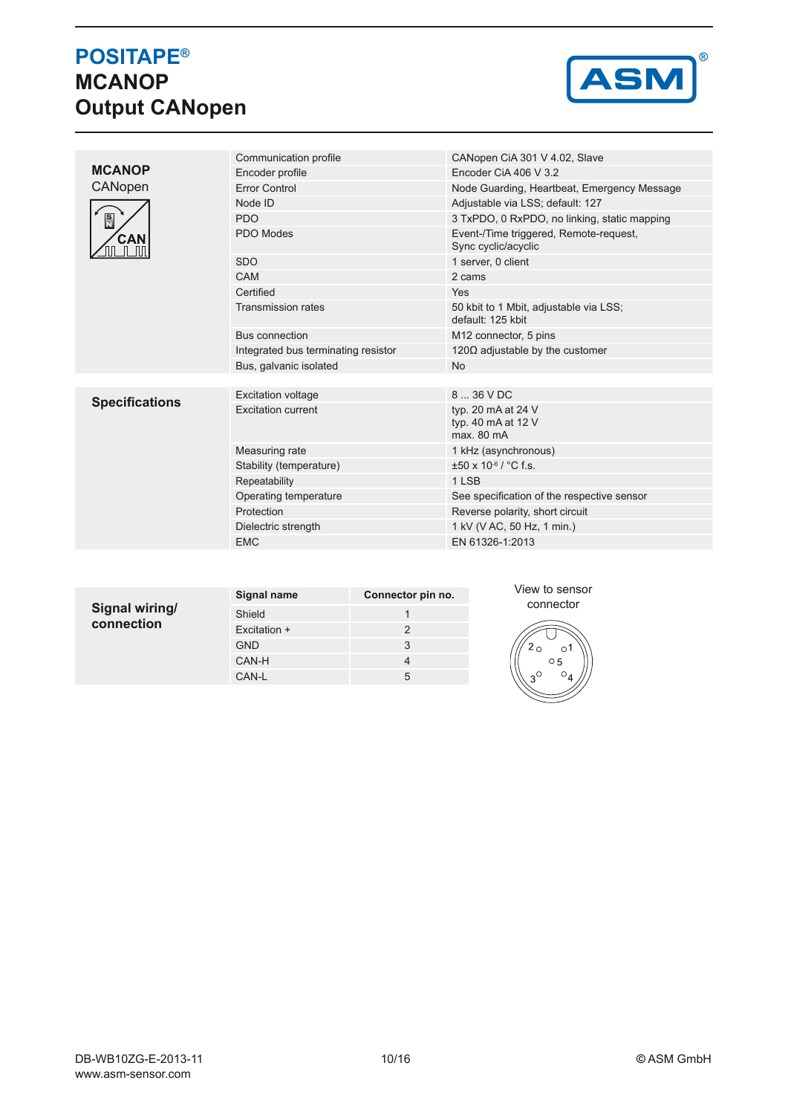# **POSITAPE® MCANOP Output CANopen**



| <b>MCANOP</b>         | Communication profile               | CANopen CiA 301 V 4.02, Slave                                 |  |  |  |
|-----------------------|-------------------------------------|---------------------------------------------------------------|--|--|--|
|                       | Encoder profile                     | Encoder CiA 406 V 3.2                                         |  |  |  |
| CANopen               | <b>Error Control</b>                | Node Guarding, Heartbeat, Emergency Message                   |  |  |  |
| $\frac{S}{N}$<br>CAN  | Node ID                             | Adjustable via LSS; default: 127                              |  |  |  |
|                       | <b>PDO</b>                          | 3 TxPDO, 0 RxPDO, no linking, static mapping                  |  |  |  |
|                       | PDO Modes                           | Event-/Time triggered, Remote-request,<br>Sync cyclic/acyclic |  |  |  |
|                       | <b>SDO</b>                          | 1 server, 0 client                                            |  |  |  |
|                       | CAM                                 | 2 cams                                                        |  |  |  |
|                       | Certified                           | <b>Yes</b>                                                    |  |  |  |
|                       | <b>Transmission rates</b>           | 50 kbit to 1 Mbit, adjustable via LSS;<br>default: 125 kbit   |  |  |  |
|                       | Bus connection                      | M <sub>12</sub> connector, 5 pins                             |  |  |  |
|                       | Integrated bus terminating resistor | 120 $\Omega$ adjustable by the customer                       |  |  |  |
|                       | Bus, galvanic isolated              | <b>No</b>                                                     |  |  |  |
|                       |                                     |                                                               |  |  |  |
| <b>Specifications</b> | <b>Excitation voltage</b>           | 8  36 V DC                                                    |  |  |  |
|                       | <b>Excitation current</b>           | typ. 20 mA at 24 V<br>typ. 40 mA at 12 V<br>max. 80 mA        |  |  |  |
|                       | Measuring rate                      | 1 kHz (asynchronous)                                          |  |  |  |
|                       | Stability (temperature)             | $\pm 50 \times 10^{-6}$ / °C f.s.                             |  |  |  |
|                       | Repeatability                       | 1 LSB                                                         |  |  |  |
|                       | Operating temperature               | See specification of the respective sensor                    |  |  |  |
|                       | Protection                          | Reverse polarity, short circuit                               |  |  |  |
|                       | Dielectric strength                 | 1 kV (V AC, 50 Hz, 1 min.)                                    |  |  |  |
|                       | <b>EMC</b>                          | EN 61326-1:2013                                               |  |  |  |
|                       |                                     |                                                               |  |  |  |

|                | Signal name  | Connector pin no. |  |  |
|----------------|--------------|-------------------|--|--|
| Signal wiring/ | Shield       |                   |  |  |
| connection     | Excitation + | 2                 |  |  |
|                | <b>GND</b>   | 3                 |  |  |
|                | CAN-H        |                   |  |  |
|                | CAN-L        | 5                 |  |  |
|                |              |                   |  |  |

View to sensor connector

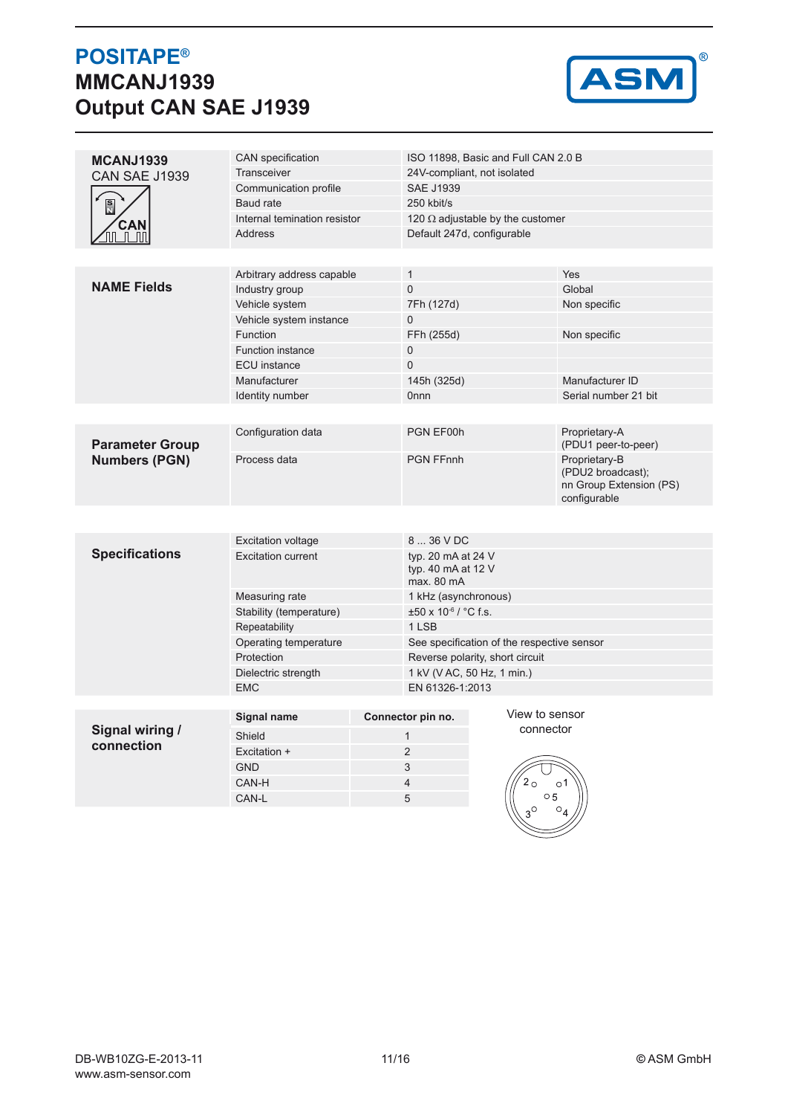## **POSITAPE® MMCANJ1939 Output CAN SAE J1939**



| MCANJ1939                                    | <b>CAN</b> specification                    |                            |                                                        | ISO 11898, Basic and Full CAN 2.0 B        |                                                                               |  |  |
|----------------------------------------------|---------------------------------------------|----------------------------|--------------------------------------------------------|--------------------------------------------|-------------------------------------------------------------------------------|--|--|
| CAN SAE J1939<br>$\frac{S}{M}$<br><b>CAN</b> | Transceiver                                 |                            | 24V-compliant, not isolated                            |                                            |                                                                               |  |  |
|                                              | Communication profile                       |                            | <b>SAE J1939</b>                                       |                                            |                                                                               |  |  |
|                                              | Baud rate                                   |                            | 250 kbit/s                                             |                                            |                                                                               |  |  |
|                                              | Internal temination resistor                |                            |                                                        | 120 $\Omega$ adjustable by the customer    |                                                                               |  |  |
| $\mathsf{L}$                                 | <b>Address</b>                              |                            |                                                        | Default 247d, configurable                 |                                                                               |  |  |
|                                              |                                             |                            |                                                        |                                            |                                                                               |  |  |
|                                              |                                             |                            |                                                        |                                            | Yes                                                                           |  |  |
| <b>NAME Fields</b>                           | Arbitrary address capable<br>Industry group |                            | $\mathbf{1}$<br>0                                      |                                            |                                                                               |  |  |
|                                              | Vehicle system                              |                            | 7Fh (127d)                                             |                                            | Global<br>Non specific                                                        |  |  |
|                                              | Vehicle system instance                     |                            | 0                                                      |                                            |                                                                               |  |  |
|                                              | Function                                    |                            |                                                        |                                            | Non specific                                                                  |  |  |
|                                              |                                             |                            | FFh (255d)<br>0                                        |                                            |                                                                               |  |  |
|                                              | <b>Function instance</b>                    |                            | 0                                                      |                                            |                                                                               |  |  |
|                                              | <b>ECU</b> instance<br>Manufacturer         |                            |                                                        |                                            | Manufacturer ID                                                               |  |  |
|                                              | Identity number                             | 145h (325d)<br><b>Onnn</b> |                                                        | Serial number 21 bit                       |                                                                               |  |  |
|                                              |                                             |                            |                                                        |                                            |                                                                               |  |  |
|                                              |                                             |                            |                                                        |                                            |                                                                               |  |  |
| <b>Parameter Group</b>                       | Configuration data                          |                            | PGN EF00h                                              |                                            | Proprietary-A<br>(PDU1 peer-to-peer)                                          |  |  |
| <b>Numbers (PGN)</b>                         | Process data                                |                            | <b>PGN FFnnh</b>                                       |                                            | Proprietary-B<br>(PDU2 broadcast);<br>nn Group Extension (PS)<br>configurable |  |  |
|                                              |                                             |                            |                                                        |                                            |                                                                               |  |  |
|                                              |                                             |                            |                                                        |                                            |                                                                               |  |  |
|                                              | <b>Excitation voltage</b>                   |                            | 8  36 V DC                                             |                                            |                                                                               |  |  |
| <b>Specifications</b>                        | <b>Excitation current</b>                   |                            | typ. 20 mA at 24 V<br>typ. 40 mA at 12 V<br>max. 80 mA |                                            |                                                                               |  |  |
|                                              | Measuring rate                              |                            | 1 kHz (asynchronous)                                   |                                            |                                                                               |  |  |
|                                              | Stability (temperature)                     |                            | $\pm 50$ x 10 <sup>-6</sup> / °C f.s.                  |                                            |                                                                               |  |  |
|                                              | Repeatability                               |                            | 1 LSB                                                  |                                            |                                                                               |  |  |
|                                              | Operating temperature                       |                            |                                                        | See specification of the respective sensor |                                                                               |  |  |
|                                              | Protection                                  |                            |                                                        | Reverse polarity, short circuit            |                                                                               |  |  |
|                                              | Dielectric strength                         |                            |                                                        | 1 kV (V AC, 50 Hz, 1 min.)                 |                                                                               |  |  |
|                                              | <b>EMC</b>                                  |                            |                                                        | EN 61326-1:2013                            |                                                                               |  |  |
|                                              |                                             |                            |                                                        |                                            |                                                                               |  |  |
|                                              | <b>Signal name</b>                          |                            | Connector pin no.                                      | View to sensor                             |                                                                               |  |  |
| Signal wiring /<br>connection                | Shield                                      |                            | $\mathbf{1}$                                           | connector                                  |                                                                               |  |  |
|                                              | Excitation +                                |                            | $\overline{2}$                                         |                                            |                                                                               |  |  |
|                                              | <b>GND</b>                                  |                            | 3                                                      |                                            |                                                                               |  |  |
|                                              | CAN-H                                       |                            | $\overline{4}$                                         |                                            | $\circ$ 1                                                                     |  |  |
|                                              | CAN-L                                       |                            | 5                                                      | $\circ$ 5                                  |                                                                               |  |  |
|                                              |                                             |                            |                                                        |                                            | O                                                                             |  |  |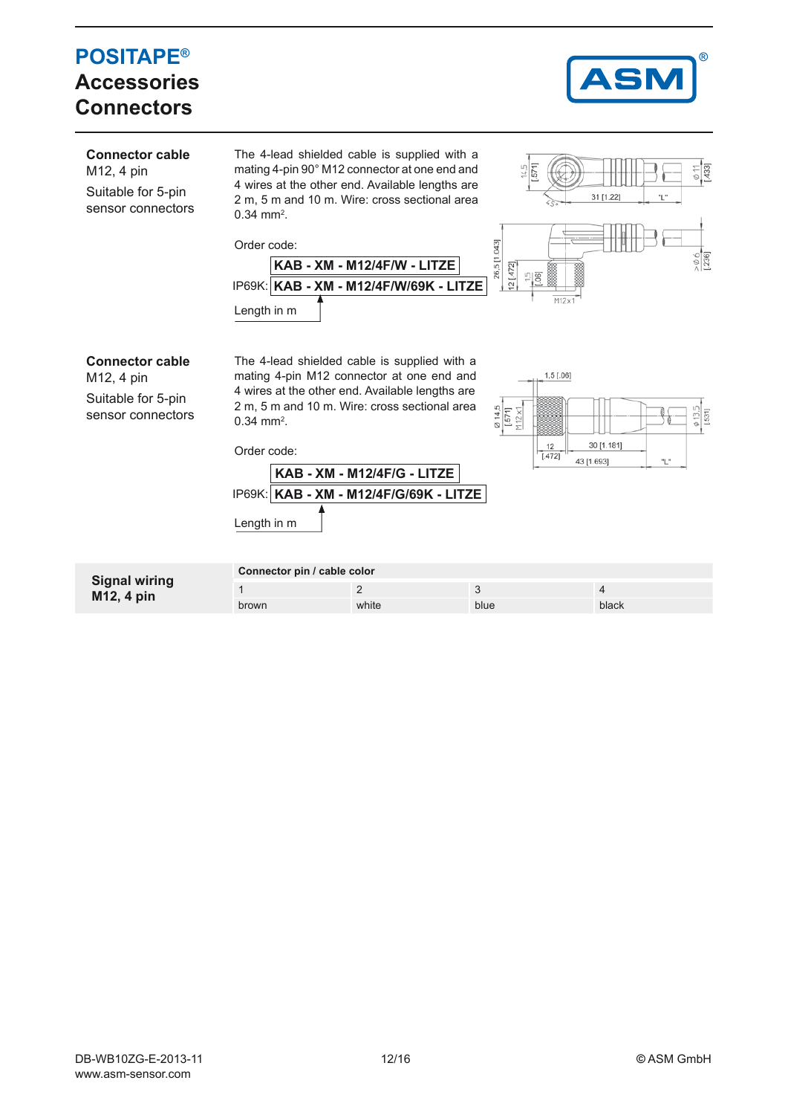# **POSITAPE® Accessories Connectors**



| <b>Connector cable</b><br>M12, 4 pin<br>Suitable for 5-pin<br>sensor connectors | $0.34$ mm <sup>2</sup> .<br>Order code:<br>Length in m | The 4-lead shielded cable is supplied with a<br>mating 4-pin 90° M12 connector at one end and<br>4 wires at the other end. Available lengths are<br>2 m, 5 m and 10 m. Wire: cross sectional area<br>KAB - XM - M12/4F/W - LITZE<br>IP69K: KAB - XM - M12/4F/W/69K - LITZE | $\frac{14.5}{571}$<br>26,5 [1.043]<br>$12$ [.472]<br><u> 다양</u><br>M12x1 | $\frac{\phi}{1433}$<br>31 [1.22]<br>"L<br>$\frac{6}{236}$ |
|---------------------------------------------------------------------------------|--------------------------------------------------------|----------------------------------------------------------------------------------------------------------------------------------------------------------------------------------------------------------------------------------------------------------------------------|--------------------------------------------------------------------------|-----------------------------------------------------------|
| <b>Connector cable</b><br>M12, 4 pin<br>Suitable for 5-pin<br>sensor connectors | $0.34$ mm <sup>2</sup> .<br>Order code:<br>Length in m | The 4-lead shielded cable is supplied with a<br>mating 4-pin M12 connector at one end and<br>4 wires at the other end. Available lengths are<br>2 m, 5 m and 10 m. Wire: cross sectional area<br>KAB - XM - M12/4F/G - LITZE<br>IP69K: KAB - XM - M12/4F/G/69K - LITZE     | 1,5 [.06]<br>0 14,5<br>$1.571$<br>M12 x1<br>12<br>[.472]<br>43 [1.693]   | $\frac{\phi}{1531}$<br>30 [1.181]<br>"L"                  |
| <b>Signal wiring</b>                                                            | Connector pin / cable color                            | $\overline{2}$                                                                                                                                                                                                                                                             | 3                                                                        | $\overline{4}$                                            |
| M12, 4 pin                                                                      | brown                                                  | white                                                                                                                                                                                                                                                                      | blue                                                                     | black                                                     |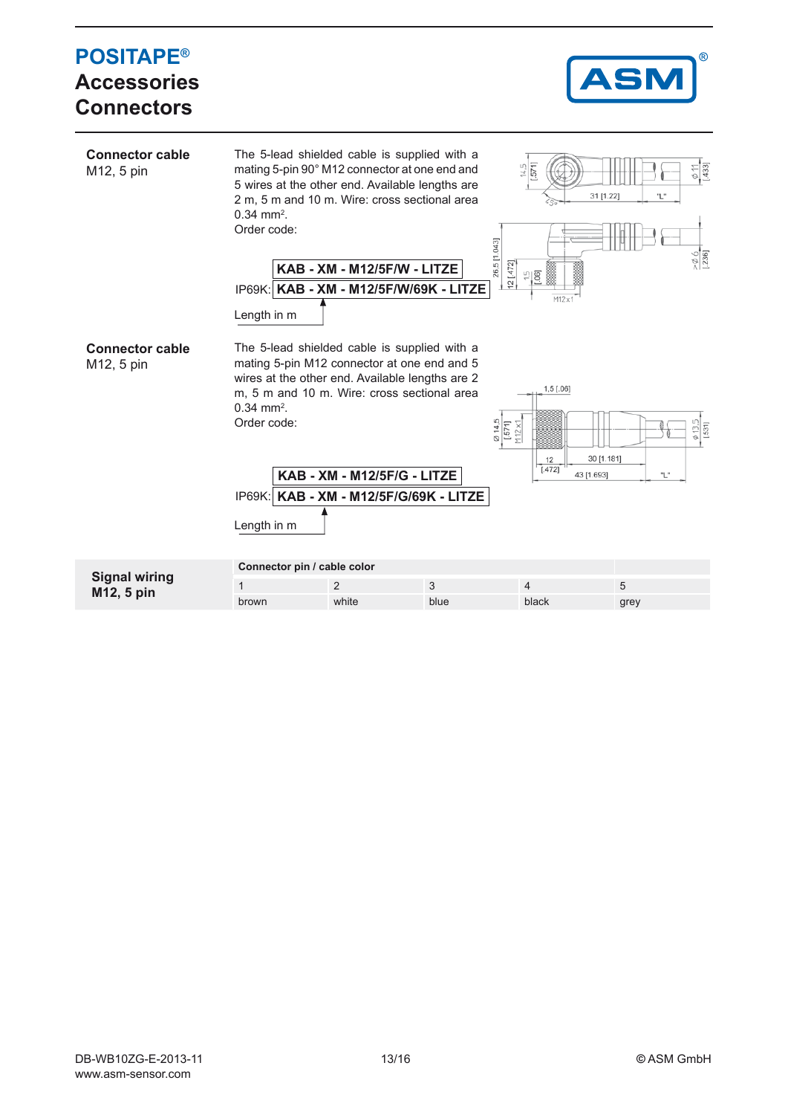#### **POSITAPE®** AS. **Accessories ConnectorsConnector cable** The 5-lead shielded cable is supplied with a mating 5-pin 90° M12 connector at one end and 433] M12, 5 pin 5711 5 wires at the other end. Available lengths are 2 m, 5 m and 10 m. Wire: cross sectional area 31 [1.22]  $0.34 \text{ mm}^2$ . Order code: 26,5 [1.043]  $12$  [.472]. **KAB - XM - M12/5F/W - LITZE** 18  $\cup$ **KAB - XM - M12/5F/W/69K - LITZE** IP69K: M12v Length in m **Connector cable** The 5-lead shielded cable is supplied with a mating 5-pin M12 connector at one end and 5 M12, 5 pin wires at the other end. Available lengths are 2  $1,5$  [.06] m, 5 m and 10 m. Wire: cross sectional area  $0.34 \text{ mm}^2$ .  $\frac{0.14,5}{1.571}$ <br> $N12 \times 1$ Order code:  $531$  $\frac{12}{[.472]}$ 30 [1.181] **KAB - XM - M12/5F/G - LITZE** 43 [1.693] ٠. **KAB - XM - M12/5F/G/69K - LITZE** IP69K: Length in m **Connector pin / cable color Signal wiring** 1 2 3 4 5 **M12, 5 pin** brown white blue black grey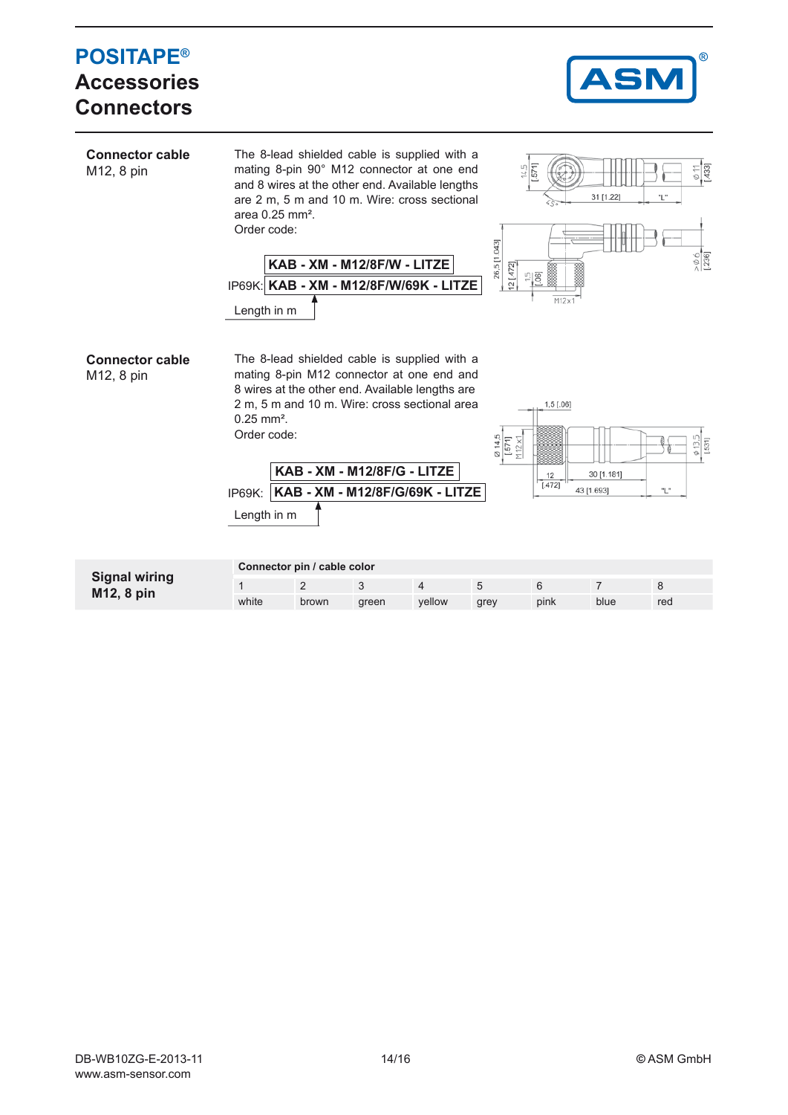#### **POSITAPE® Accessories ConnectorsConnector cable**  The 8-lead shielded cable is supplied with a mating 8-pin 90° M12 connector at one end 4331 M12, 8 pin and 8 wires at the other end. Available lengths are 2 m, 5 m and 10 m. Wire: cross sectional 31 [1.22] area 0.25 mm². Order code: 26,5 [1.043] **KAB - XM - M12/8F/W - LITZE**  $12 [472]$ **KAB - XM - M12/8F/W/69K - LITZE** IP69K: Length in m **Connector cable**  The 8-lead shielded cable is supplied with a mating 8-pin M12 connector at one end and M12, 8 pin 8 wires at the other end. Available lengths are 2 m, 5 m and 10 m. Wire: cross sectional area  $1,5$  [.06] 0.25 mm². Order code:  $\frac{6}{1571}$ <br>[.571]<br>M 12 x1 **KAB - XM - M12/8F/G - LITZE** 30 [1.181]  $\frac{12}{[.472]}$ 43 [1.693] "L" **KAB - XM - M12/8F/G/69K - LITZE** IP69K: Length in m

| <b>Signal wiring</b><br>M <sub>12</sub> , 8 pin | Connector pin / cable color |       |       |        |      |      |      |     |
|-------------------------------------------------|-----------------------------|-------|-------|--------|------|------|------|-----|
|                                                 |                             |       |       |        |      |      |      |     |
|                                                 | white                       | brown | areen | vellow | grey | pink | blue | red |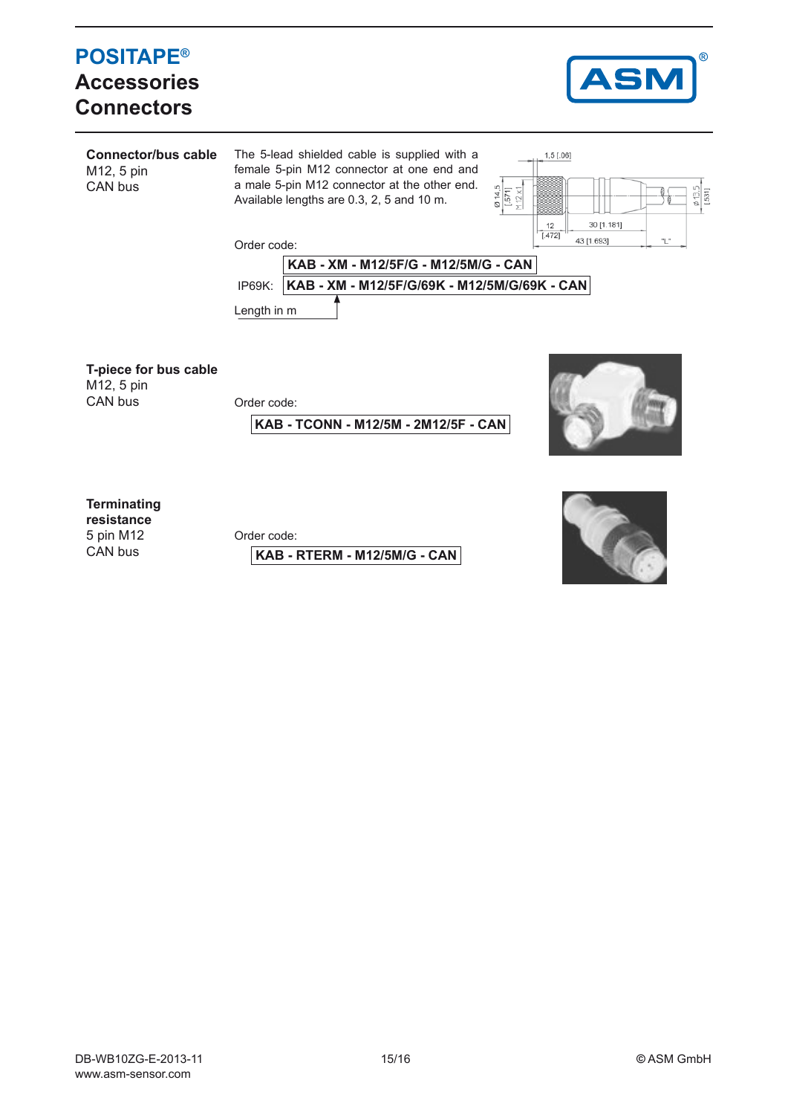## **POSITAPE® Accessories Connectors**



**Connector/bus cable**  The 5-lead shielded cable is supplied with a  $1,5$  [.06] female 5-pin M12 connector at one end and M12, 5 pin a male 5-pin M12 connector at the other end. CAN bus  $\frac{\emptyset 14,5}{[.571]}$ <br> $\frac{[.571]}{[.971]}$ Available lengths are 0.3, 2, 5 and 10 m.



Order code:



**T-piece for bus cable**

M12, 5 pin<br>CAN bus

Order code:

**KAB - TCONN - M12/5M - 2M12/5F - CAN**



**Terminating** 

**resistance** 5 pin M12 CAN bus

Order code:

**KAB - RTERM - M12/5M/G - CAN**